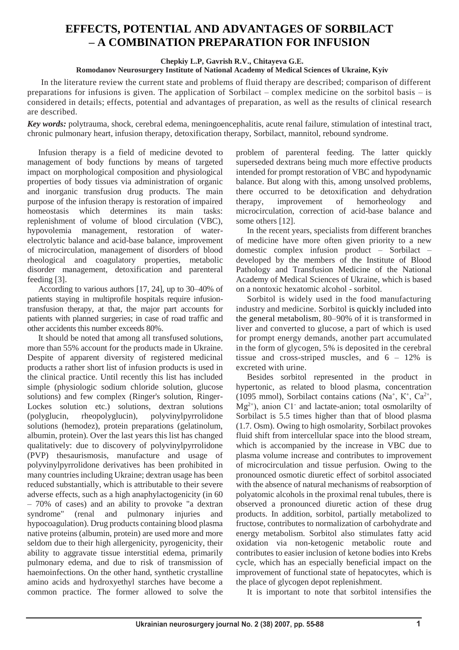# **EFFECTS, POTENTIAL AND ADVANTAGES OF SORBILACT – A COMBINATION PREPARATION FOR INFUSION**

## **Chepkiy L.P, Gavrish R.V., Chitayeva G.E.**

## **Romodanov Neurosurgery Institute of National Academy of Medical Sciences of Ukraine, Kyiv**

In the literature review the current state and problems of fluid therapy are described; comparison of different preparations for infusions is given. The application of Sorbilact – complex medicine on the sorbitol basis – is considered in details; effects, potential and advantages of preparation, as well as the results of clinical research are described.

*Key words:* polytrauma, shock, cerebral edema, meningoencephalitis, acute renal failure, stimulation of intestinal tract, chronic pulmonary heart, infusion therapy, detoxification therapy, Sorbilact, mannitol, rebound syndrome.

Infusion therapy is a field of medicine devoted to management of body functions by means of targeted impact on morphological composition and physiological properties of body tissues via administration of organic and inorganic transfusion drug products. The main purpose of the infusion therapy is restoration of impaired homeostasis which determines its main tasks: replenishment of volume of blood circulation (VBC), hypovolemia management, restoration of waterelectrolytic balance and acid-base balance, improvement of microcirculation, management of disorders of blood rheological and coagulatory properties, metabolic disorder management, detoxification and parenteral feeding [3].

According to various authors [17, 24], up to 30–40% of patients staying in multiprofile hospitals require infusiontransfusion therapy, at that, the major part accounts for patients with planned surgeries; in case of road traffic and other accidents this number exceeds 80%.

It should be noted that among all transfused solutions, more than 55% account for the products made in Ukraine. Despite of apparent diversity of registered medicinal products a rather short list of infusion products is used in the clinical practice. Until recently this list has included simple (physiologic sodium chloride solution, glucose solutions) and few complex (Ringer's solution, Ringer-Lockes solution etc.) solutions, dextran solutions (polyglucin, rheopolyglucin), polyvinylpyrrolidone solutions (hemodez), protein preparations (gelatinolum, albumin, protein). Over the last years this list has changed qualitatively: due to discovery of polyvinylpyrrolidone (PVP) thesaurismosis, manufacture and usage of polyvinylpyrrolidone derivatives has been prohibited in many countries including Ukraine; dextran usage has been reduced substantially, which is attributable to their severe adverse effects, such as a high anaphylactogenicity (in 60 – 70% of cases) and an ability to provoke "a dextran syndrome" (renal and pulmonary injuries and hypocoagulation). Drug products containing blood plasma native proteins (albumin, protein) are used more and more seldom due to their high allergenicity, pyrogenicity, their ability to aggravate tissue interstitial edema, primarily pulmonary edema, and due to risk of transmission of haemoinfections. On the other hand, synthetic crystalline amino acids and hydroxyethyl starches have become a common practice. The former allowed to solve the

problem of parenteral feeding. The latter quickly superseded dextrans being much more effective products intended for prompt restoration of VBC and hypodynamic balance. But along with this, among unsolved problems, there occurred to be detoxification and dehydration therapy, improvement of hemorheology and microcirculation, correction of acid-base balance and some others [12].

In the recent years, specialists from different branches of medicine have more often given priority to a new domestic complex infusion product – Sorbilact – developed by the members of the Institute of Blood Pathology and Transfusion Medicine of the National Academy of Medical Sciences of Ukraine, which is based on a nontoxic hexatomic alcohol - sorbitol.

Sorbitol is widely used in the food manufacturing industry and medicine. Sorbitol is quickly included into the general metabolism, 80–90% of it is transformed in liver and converted to glucose, a part of which is used for prompt energy demands, another part accumulated in the form of glycogen, 5% is deposited in the cerebral tissue and cross-striped muscles, and 6 – 12% is excreted with urine.

Besides sorbitol represented in the product in hypertonic, as related to blood plasma, concentration (1095 mmol), Sorbilact contains cations (Na<sup>+</sup>, K<sup>+</sup>, Ca<sup>2+</sup>,  $Mg^{2+}$ ), anion C1<sup>-</sup> and lactate-anion; total osmolarilty of Sorbilact is 5.5 times higher than that of blood plasma (1.7. Osm). Owing to high osmolarity, Sorbilact provokes fluid shift from intercellular space into the blood stream, which is accompanied by the increase in VBC due to plasma volume increase and contributes to improvement of microcirculation and tissue perfusion. Owing to the pronounced osmotic diuretic effect of sorbitol associated with the absence of natural mechanisms of reabsorption of polyatomic alcohols in the proximal renal tubules, there is observed a pronounced diuretic action of these drug products. In addition, sorbitol, partially metabolized to fructose, contributes to normalization of carbohydrate and energy metabolism. Sorbitol also stimulates fatty acid oxidation via non-ketogenic metabolic route and contributes to easier inclusion of ketone bodies into Krebs cycle, which has an especially beneficial impact on the improvement of functional state of hepatocytes, which is the place of glycogen depot replenishment.

It is important to note that sorbitol intensifies the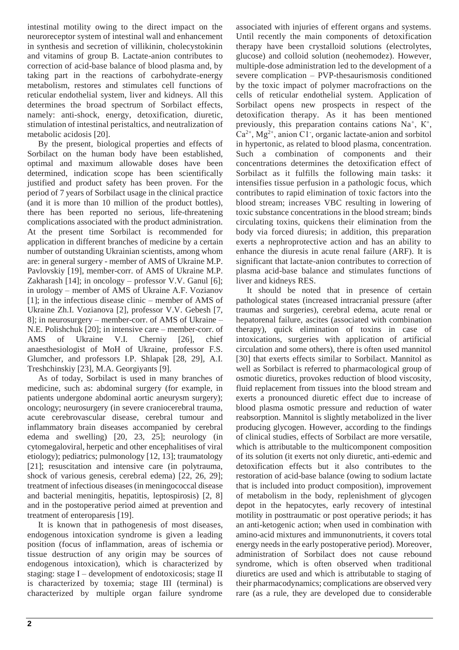intestinal motility owing to the direct impact on the neuroreceptor system of intestinal wall and enhancement in synthesis and secretion of villikinin, cholecystokinin and vitamins of group B. Lactate-anion contributes to correction of acid-base balance of blood plasma and, by taking part in the reactions of carbohydrate-energy metabolism, restores and stimulates cell functions of reticular endothelial system, liver and kidneys. All this determines the broad spectrum of Sorbilact effects, namely: anti-shock, energy, detoxification, diuretic, stimulation of intestinal peristaltics, and neutralization of metabolic acidosis [20].

By the present, biological properties and effects of Sorbilact on the human body have been established, optimal and maximum allowable doses have been determined, indication scope has been scientifically justified and product safety has been proven. For the period of 7 years of Sorbilact usage in the clinical practice (and it is more than 10 million of the product bottles), there has been reported no serious, life-threatening complications associated with the product administration. At the present time Sorbilact is recommended for application in different branches of medicine by a certain number of outstanding Ukrainian scientists, among whom are: in general surgery - member of AMS of Ukraine M.P. Pavlovskiy [19], member-corr. of AMS of Ukraine M.P. Zakharash [14]; in oncology – professor V.V. Ganul [6]; in urology – member of AMS of Ukraine A.F. Vozianov [1]; in the infectious disease clinic – member of AMS of Ukraine Zh.I. Vozianova [2], professor V.V. Gebesh [7, 8]; in neurosurgery – member-corr. of AMS of Ukraine – N.E. Polishchuk [20]; in intensive care – member-corr. of AMS of Ukraine V.I. Cherniy [26], chief anaesthesiologist of MoH of Ukraine, professor F.S. Glumcher, and professors I.P. Shlapak [28, 29], A.I. Treshchinskiy [23], M.A. Georgiyants [9].

As of today, Sorbilact is used in many branches of medicine, such as: abdominal surgery (for example, in patients undergone abdominal aortic aneurysm surgery); oncology; neurosurgery (in severe craniocerebral trauma, acute cerebrovascular disease, cerebral tumour and inflammatory brain diseases accompanied by cerebral edema and swelling) [20, 23, 25]; neurology (in cytomegaloviral, herpetic and other encephalitises of viral etiology); pediatrics; pulmonology [12, 13]; traumatology [21]; resuscitation and intensive care (in polytrauma, shock of various genesis, cerebral edema) [22, 26, 29]; treatment of infectious diseases (in meningococcal disease and bacterial meningitis, hepatitis, leptospirosis) [2, 8] and in the postoperative period aimed at prevention and treatment of enteroparesis [19].

It is known that in pathogenesis of most diseases, endogenous intoxication syndrome is given a leading position (focus of inflammation, areas of ischemia or tissue destruction of any origin may be sources of endogenous intoxication), which is characterized by staging: stage I – development of endotoxicosis; stage II is characterized by toxemia; stage III (terminal) is characterized by multiple organ failure syndrome associated with injuries of efferent organs and systems. Until recently the main components of detoxification therapy have been crystalloid solutions (electrolytes, glucose) and colloid solution (neohemodez). However, multiple-dose administration led to the development of a severe complication – PVP-thesaurismosis conditioned by the toxic impact of polymer macrofractions on the cells of reticular endothelial system. Application of Sorbilact opens new prospects in respect of the detoxification therapy. As it has been mentioned previously, this preparation contains cations  $Na^+$ ,  $K^+$ ,  $Ca<sup>2+</sup>, Mg<sup>2+</sup>, anion Cl<sub>1</sub>, organic lactate-anion and sorbitol$ in hypertonic, as related to blood plasma, concentration. Such a combination of components and their concentrations determines the detoxification effect of Sorbilact as it fulfills the following main tasks: it intensifies tissue perfusion in a pathologic focus, which contributes to rapid elimination of toxic factors into the blood stream; increases VBC resulting in lowering of toxic substance concentrations in the blood stream; binds circulating toxins, quickens their elimination from the body via forced diuresis; in addition, this preparation exerts a nephroprotective action and has an ability to enhance the diuresis in acute renal failure (ARF). It is significant that lactate-anion contributes to correction of plasma acid-base balance and stimulates functions of liver and kidneys RES.

It should be noted that in presence of certain pathological states (increased intracranial pressure (after traumas and surgeries), cerebral edema, acute renal or hepatorenal failure, ascites (associated with combination therapy), quick elimination of toxins in case of intoxications, surgeries with application of artificial circulation and some others), there is often used mannitol [30] that exerts effects similar to Sorbilact. Mannitol as well as Sorbilact is referred to pharmacological group of osmotic diuretics, provokes reduction of blood viscosity, fluid replacement from tissues into the blood stream and exerts a pronounced diuretic effect due to increase of blood plasma osmotic pressure and reduction of water reabsorption. Mannitol is slightly metabolized in the liver producing glycogen. However, according to the findings of clinical studies, effects of Sorbilact are more versatile, which is attributable to the multicomponent composition of its solution (it exerts not only diuretic, anti-edemic and detoxification effects but it also contributes to the restoration of acid-base balance (owing to sodium lactate that is included into product composition), improvement of metabolism in the body, replenishment of glycogen depot in the hepatocytes, early recovery of intestinal motility in posttraumatic or post operative periods; it has an anti-ketogenic action; when used in combination with amino-acid mixtures and immunonutrients, it covers total energy needs in the early postoperative period). Moreover, administration of Sorbilact does not cause rebound syndrome, which is often observed when traditional diuretics are used and which is attributable to staging of their pharmacodynamics; complications are observed very rare (as a rule, they are developed due to considerable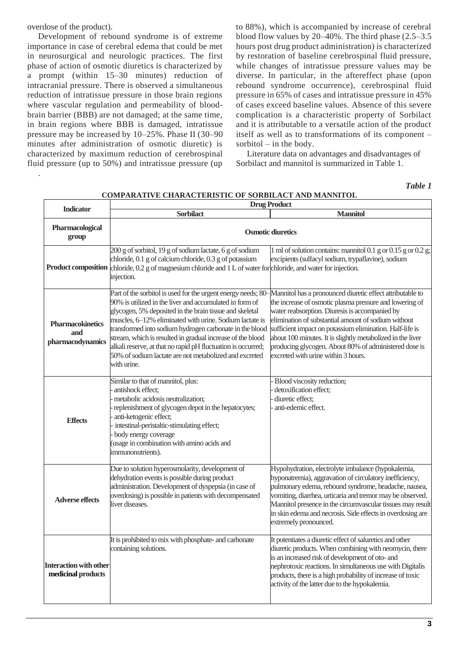overdose of the product).

.

Development of rebound syndrome is of extreme importance in case of cerebral edema that could be met in neurosurgical and neurologic practices. The first phase of action of osmotic diuretics is characterized by a prompt (within 15–30 minutes) reduction of intracranial pressure. There is observed a simultaneous reduction of intratissue pressure in those brain regions where vascular regulation and permeability of bloodbrain barrier (BBB) are not damaged; at the same time, in brain regions where BBB is damaged, intratissue pressure may be increased by 10–25%. Phase II (30–90 minutes after administration of osmotic diuretic) is characterized by maximum reduction of cerebrospinal fluid pressure (up to 50%) and intratissue pressure (up to 88%), which is accompanied by increase of cerebral blood flow values by 20–40%. The third phase (2.5–3.5 hours post drug product administration) is characterized by restoration of baseline cerebrospinal fluid pressure, while changes of intratissue pressure values may be diverse. In particular, in the aftereffect phase (upon rebound syndrome occurrence), cerebrospinal fluid pressure in 65% of cases and intratissue pressure in 45% of cases exceed baseline values. Absence of this severe complication is a characteristic property of Sorbilact and it is attributable to a versatile action of the product itself as well as to transformations of its component – sorbitol – in the body.

Literature data on advantages and disadvantages of Sorbilact and mannitol is summarized in Table 1.

*Table 1*

| <b>Indicator</b>                                    |                                                                                                                                                                                                                                                                                                                                                                                                                                                                                                                  | <b>Drug Product</b>                                                                                                                                                                                                                                                                                                                                                                                                                                     |
|-----------------------------------------------------|------------------------------------------------------------------------------------------------------------------------------------------------------------------------------------------------------------------------------------------------------------------------------------------------------------------------------------------------------------------------------------------------------------------------------------------------------------------------------------------------------------------|---------------------------------------------------------------------------------------------------------------------------------------------------------------------------------------------------------------------------------------------------------------------------------------------------------------------------------------------------------------------------------------------------------------------------------------------------------|
|                                                     | <b>Sorbilact</b>                                                                                                                                                                                                                                                                                                                                                                                                                                                                                                 | <b>Mannitol</b>                                                                                                                                                                                                                                                                                                                                                                                                                                         |
| Pharmacological<br>group                            | <b>Osmotic diuretics</b>                                                                                                                                                                                                                                                                                                                                                                                                                                                                                         |                                                                                                                                                                                                                                                                                                                                                                                                                                                         |
|                                                     | 200 g of sorbitol, 19 g of sodium lactate, 6 g of sodium<br>chloride, 0.1 g of calcium chloride, 0.3 g of potassium<br>Product composition chloride, 0.2 g of magnesium chloride and 1 L of water for chloride, and water for injection.<br>injection.                                                                                                                                                                                                                                                           | 1 ml of solution contains: mannitol 0.1 g or 0.15 g or 0.2 g;<br>excipients (sulfacyl sodium, trypaflavine), sodium                                                                                                                                                                                                                                                                                                                                     |
| Pharmacokinetics<br>and<br>pharmacodynamics         | Part of the sorbitol is used for the urgent energy needs; 80-<br>90% is utilized in the liver and accumulated in form of<br>glycogen, 5% deposited in the brain tissue and skeletal<br>muscles, 6-12% eliminated with urine. Sodium lactate is<br>transformed into sodium hydrogen carbonate in the blood<br>stream, which is resulted in gradual increase of the blood<br>alkali reserve, at that no rapid pH fluctuation is occurred;<br>50% of sodium lactate are not metabolized and excreted<br>with urine. | Mannitol has a pronounced diuretic effect attributable to<br>the increase of osmotic plasma pressure and lowering of<br>water reabsorption. Diuresis is accompanied by<br>elimination of substantial amount of sodium without<br>sufficient impact on potassium elimination. Half-life is<br>about 100 minutes. It is slightly metabolized in the liver<br>producing glycogen. About 80% of administered dose is<br>excreted with urine within 3 hours. |
| <b>Effects</b>                                      | Similar to that of mannitol, plus:<br>antishock effect;<br>metabolic acidosis neutralization;<br>replenishment of glycogen depot in the hepatocytes;<br>anti-ketogenic effect;<br>intestinal-peristaltic-stimulating effect;<br>body energy coverage<br>(usage in combination with amino acids and<br>immunonutrients).                                                                                                                                                                                          | Blood viscosity reduction;<br>detoxification effect;<br>diuretic effect;<br>anti-edemic effect.                                                                                                                                                                                                                                                                                                                                                         |
| <b>Adverse effects</b>                              | Due to solution hyperosmolarity, development of<br>dehydration events is possible during product<br>administration. Development of dyspepsia (in case of<br>overdosing) is possible in patients with decompensated<br>liver diseases.                                                                                                                                                                                                                                                                            | Hypohydration, electrolyte imbalance (hypokalemia,<br>hyponatremia), aggravation of circulatory inefficiency,<br>pulmonary edema, rebound syndrome, headache, nausea,<br>vomiting, diarrhea, urticaria and tremor may be observed.<br>Mannitol presence in the circumvascular tissues may result<br>in skin edema and necrosis. Side effects in overdosing are<br>extremely pronounced.                                                                 |
| <b>Interaction with other</b><br>medicinal products | It is prohibited to mix with phosphate- and carbonate<br>containing solutions.                                                                                                                                                                                                                                                                                                                                                                                                                                   | It potentiates a diuretic effect of saluretics and other<br>diuretic products. When combining with neomycin, there<br>is an increased risk of development of oto- and<br>nephrotoxic reactions. In simultaneous use with Digitalis<br>products, there is a high probability of increase of toxic<br>activity of the latter due to the hypokalemia.                                                                                                      |

#### **COMPARATIVE CHARACTERISTIC OF SORBILACT AND MANNITOL**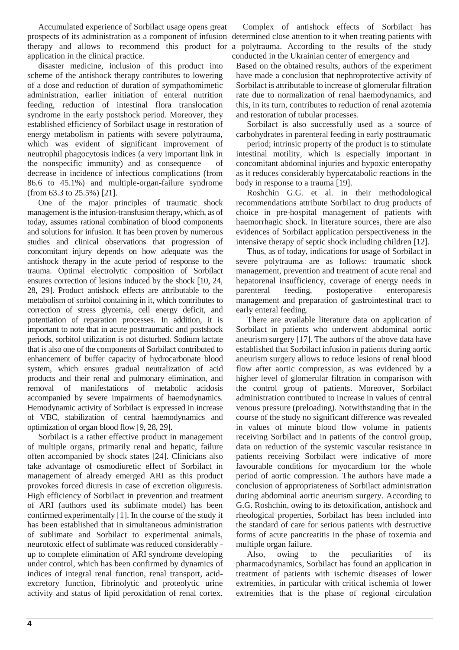Accumulated experience of Sorbilact usage opens great prospects of its administration as a component of infusion determined close attention to it when treating patients with therapy and allows to recommend this product for a polytrauma. According to the results of the study application in the clinical practice.

disaster medicine, inclusion of this product into scheme of the antishock therapy contributes to lowering of a dose and reduction of duration of sympathomimetic administration, earlier initiation of enteral nutrition feeding, reduction of intestinal flora translocation syndrome in the early postshock period. Moreover, they established efficiency of Sorbilact usage in restoration of energy metabolism in patients with severe polytrauma, which was evident of significant improvement of neutrophil phagocytosis indices (a very important link in the nonspecific immunity) and as consequence – of decrease in incidence of infectious complications (from 86.6 to 45.1%) and multiple-organ-failure syndrome (from 63.3 to 25.5%) [21].

One of the major principles of traumatic shock management is the infusion-transfusion therapy, which, as of today, assumes rational combination of blood components and solutions for infusion. It has been proven by numerous studies and clinical observations that progression of concomitant injury depends on how adequate was the antishock therapy in the acute period of response to the trauma. Optimal electrolytic composition of Sorbilact ensures correction of lesions induced by the shock [10, 24, 28, 29]. Product antishock effects are attributable to the metabolism of sorbitol containing in it, which contributes to correction of stress glycemia, cell energy deficit, and potentiation of reparation processes. In addition, it is important to note that in acute posttraumatic and postshock periods, sorbitol utilization is not disturbed. Sodium lactate that is also one of the components of Sorbilact contributed to enhancement of buffer capacity of hydrocarbonate blood system, which ensures gradual neutralization of acid products and their renal and pulmonary elimination, and removal of manifestations of metabolic acidosis accompanied by severe impairments of haemodynamics. Hemodynamic activity of Sorbilact is expressed in increase of VBC, stabilization of central haemodynamics and optimization of organ blood flow [9, 28, 29].

Sorbilact is a rather effective product in management of multiple organs, primarily renal and hepatic, failure often accompanied by shock states [24]. Clinicians also take advantage of osmodiuretic effect of Sorbilact in management of already emerged ARI as this product provokes forced diuresis in case of excretion oliguresis. High efficiency of Sorbilact in prevention and treatment of ARI (authors used its sublimate model) has been confirmed experimentally [1]. In the course of the study it has been established that in simultaneous administration of sublimate and Sorbilact to experimental animals, neurotoxic effect of sublimate was reduced considerably up to complete elimination of ARI syndrome developing under control, which has been confirmed by dynamics of indices of integral renal function, renal transport, acidexcretory function, fibrinolytic and proteolytic urine activity and status of lipid peroxidation of renal cortex.

Complex of antishock effects of Sorbilact has conducted in the Ukrainian center of emergency and

Based on the obtained results, authors of the experiment have made a conclusion that nephroprotective activity of Sorbilact is attributable to increase of glomerular filtration rate due to normalization of renal haemodynamics, and this, in its turn, contributes to reduction of renal azotemia and restoration of tubular processes.

Sorbilact is also successfully used as a source of carbohydrates in parenteral feeding in early posttraumatic

period; intrinsic property of the product is to stimulate intestinal motility, which is especially important in concomitant abdominal injuries and hypoxic enteropathy as it reduces considerably hypercatabolic reactions in the body in response to a trauma [19].

Roshchin G.G. et al. in their methodological recommendations attribute Sorbilact to drug products of choice in pre-hospital management of patients with haemorrhagic shock. In literature sources, there are also evidences of Sorbilact application perspectiveness in the intensive therapy of septic shock including children [12].

Thus, as of today, indications for usage of Sorbilact in severe polytrauma are as follows: traumatic shock management, prevention and treatment of acute renal and hepatorenal insufficiency, coverage of energy needs in parenteral feeding, postoperative enteroparesis management and preparation of gastrointestinal tract to early enteral feeding.

There are available literature data on application of Sorbilact in patients who underwent abdominal aortic aneurism surgery [17]. The authors of the above data have established that Sorbilact infusion in patients during aortic aneurism surgery allows to reduce lesions of renal blood flow after aortic compression, as was evidenced by a higher level of glomerular filtration in comparison with the control group of patients. Moreover, Sorbilact administration contributed to increase in values of central venous pressure (preloading). Notwithstanding that in the course of the study no significant difference was revealed in values of minute blood flow volume in patients receiving Sorbilact and in patients of the control group, data on reduction of the systemic vascular resistance in patients receiving Sorbilact were indicative of more favourable conditions for myocardium for the whole period of aortic compression. The authors have made a conclusion of appropriateness of Sorbilact administration during abdominal aortic aneurism surgery. According to G.G. Roshchin, owing to its detoxification, antishock and rheological properties, Sorbilact has been included into the standard of care for serious patients with destructive forms of acute pancreatitis in the phase of toxemia and multiple organ failure.

Also, owing to the peculiarities of its pharmacodynamics, Sorbilact has found an application in treatment of patients with ischemic diseases of lower extremities, in particular with critical ischemia of lower extremities that is the phase of regional circulation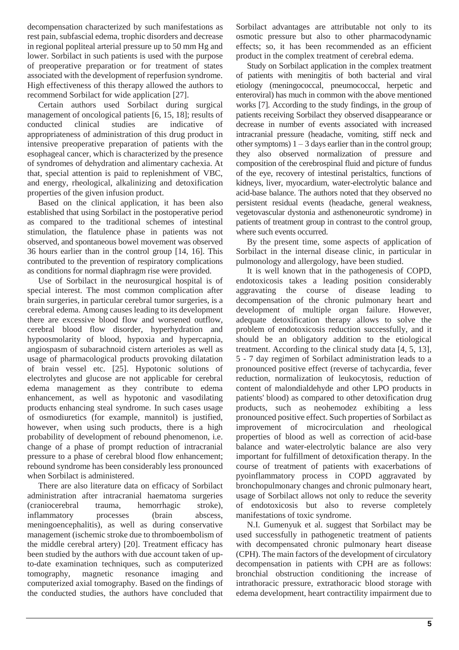decompensation characterized by such manifestations as rest pain, subfascial edema, trophic disorders and decrease in regional popliteal arterial pressure up to 50 mm Hg and lower. Sorbilact in such patients is used with the purpose of preoperative preparation or for treatment of states associated with the development of reperfusion syndrome. High effectiveness of this therapy allowed the authors to recommend Sorbilact for wide application [27].

Certain authors used Sorbilact during surgical management of oncological patients [6, 15, 18]; results of conducted clinical studies are indicative of appropriateness of administration of this drug product in intensive preoperative preparation of patients with the esophageal cancer, which is characterized by the presence of syndromes of dehydration and alimentary cachexia. At that, special attention is paid to replenishment of VBC, and energy, rheological, alkalinizing and detoxification properties of the given infusion product.

Based on the clinical application, it has been also established that using Sorbilact in the postoperative period as compared to the traditional schemes of intestinal stimulation, the flatulence phase in patients was not observed, and spontaneous bowel movement was observed 36 hours earlier than in the control group [14, 16]. This contributed to the prevention of respiratory complications as conditions for normal diaphragm rise were provided.

Use of Sorbilact in the neurosurgical hospital is of special interest. The most common complication after brain surgeries, in particular cerebral tumor surgeries, is a cerebral edema. Among causes leading to its development there are excessive blood flow and worsened outflow, cerebral blood flow disorder, hyperhydration and hypoosmolarity of blood, hypoxia and hypercapnia, angiospasm of subarachnoid cistern arterioles as well as usage of pharmacological products provoking dilatation of brain vessel etc. [25]. Hypotonic solutions of electrolytes and glucose are not applicable for cerebral edema management as they contribute to edema enhancement, as well as hypotonic and vasodilating products enhancing steal syndrome. In such cases usage of osmodiuretics (for example, mannitol) is justified, however, when using such products, there is a high probability of development of rebound phenomenon, i.e. change of a phase of prompt reduction of intracranial pressure to a phase of cerebral blood flow enhancement; rebound syndrome has been considerably less pronounced when Sorbilact is administered.

There are also literature data on efficacy of Sorbilact administration after intracranial haematoma surgeries (craniocerebral trauma, hemorrhagic stroke), inflammatory processes (brain abscess, meningoencephalitis), as well as during conservative management (ischemic stroke due to thromboembolism of the middle cerebral artery) [20]. Treatment efficacy has been studied by the authors with due account taken of upto-date examination techniques, such as computerized tomography, magnetic resonance imaging and computerized axial tomography. Based on the findings of the conducted studies, the authors have concluded that

Sorbilact advantages are attributable not only to its osmotic pressure but also to other pharmacodynamic effects; so, it has been recommended as an efficient product in the complex treatment of cerebral edema.

Study on Sorbilact application in the complex treatment of patients with meningitis of both bacterial and viral etiology (meningococcal, pneumococcal, herpetic and enteroviral) has much in common with the above mentioned works [7]. According to the study findings, in the group of patients receiving Sorbilact they observed disappearance or decrease in number of events associated with increased intracranial pressure (headache, vomiting, stiff neck and other symptoms)  $1 - 3$  days earlier than in the control group; they also observed normalization of pressure and composition of the cerebrospinal fluid and picture of fundus of the eye, recovery of intestinal peristaltics, functions of kidneys, liver, myocardium, water-electrolytic balance and acid-base balance. The authors noted that they observed no persistent residual events (headache, general weakness, vegetovascular dystonia and asthenoneurotic syndrome) in patients of treatment group in contrast to the control group, where such events occurred.

By the present time, some aspects of application of Sorbilact in the internal disease clinic, in particular in pulmonology and allergology, have been studied.

It is well known that in the pathogenesis of COPD, endotoxicosis takes a leading position considerably aggravating the course of disease leading to decompensation of the chronic pulmonary heart and development of multiple organ failure. However, adequate detoxification therapy allows to solve the problem of endotoxicosis reduction successfully, and it should be an obligatory addition to the etiological treatment. According to the clinical study data [4, 5, 13], 5 - 7 day regimen of Sorbilact administration leads to a pronounced positive effect (reverse of tachycardia, fever reduction, normalization of leukocytosis, reduction of content of malondialdehyde and other LPO products in patients' blood) as compared to other detoxification drug products, such as neohemodez exhibiting a less pronounced positive effect. Such properties of Sorbilact as improvement of microcirculation and rheological properties of blood as well as correction of acid-base balance and water-electrolytic balance are also very important for fulfillment of detoxification therapy. In the course of treatment of patients with exacerbations of pyoinflammatory process in COPD aggravated by bronchopulmonary changes and chronic pulmonary heart, usage of Sorbilact allows not only to reduce the severity of endotoxicosis but also to reverse completely manifestations of toxic syndrome.

N.I. Gumenyuk et al. suggest that Sorbilact may be used successfully in pathogenetic treatment of patients with decompensated chronic pulmonary heart disease (CPH). The main factors of the development of circulatory decompensation in patients with CPH are as follows: bronchial obstruction conditioning the increase of intrathoracic pressure, extrathoracic blood storage with edema development, heart contractility impairment due to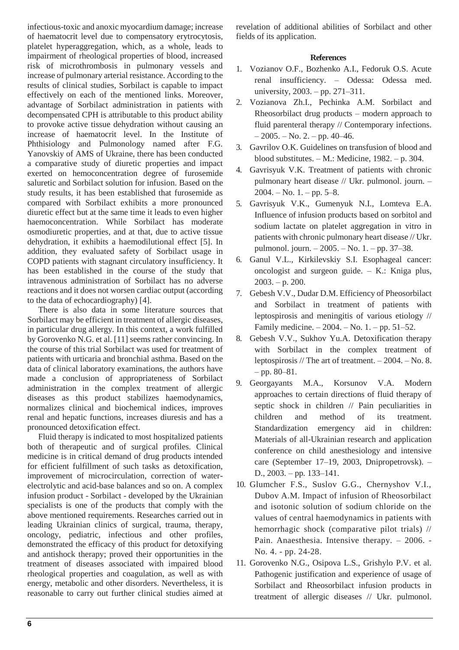infectious-toxic and anoxic myocardium damage; increase of haematocrit level due to compensatory erytrocytosis, platelet hyperaggregation, which, as a whole, leads to impairment of rheological properties of blood, increased risk of microthrombosis in pulmonary vessels and increase of pulmonary arterial resistance. According to the results of clinical studies, Sorbilact is capable to impact effectively on each of the mentioned links. Moreover, advantage of Sorbilact administration in patients with decompensated CPH is attributable to this product ability to provoke active tissue dehydration without causing an increase of haematocrit level. In the Institute of Phthisiology and Pulmonology named after F.G. Yanovskiy of AMS of Ukraine, there has been conducted a comparative study of diuretic properties and impact exerted on hemoconcentration degree of furosemide saluretic and Sorbilact solution for infusion. Based on the study results, it has been established that furosemide as compared with Sorbilact exhibits a more pronounced diuretic effect but at the same time it leads to even higher haemoconcentration. While Sorbilact has moderate osmodiuretic properties, and at that, due to active tissue dehydration, it exhibits a haemodilutional effect [5]. In addition, they evaluated safety of Sorbilact usage in COPD patients with stagnant circulatory insufficiency. It has been established in the course of the study that intravenous administration of Sorbilact has no adverse reactions and it does not worsen cardiac output (according to the data of echocardiography) [4].

There is also data in some literature sources that Sorbilact may be efficient in treatment of allergic diseases, in particular drug allergy. In this context, a work fulfilled by Gorovenko N.G. et al. [11] seems rather convincing. In the course of this trial Sorbilact was used for treatment of patients with urticaria and bronchial asthma. Based on the data of clinical laboratory examinations, the authors have made a conclusion of appropriateness of Sorbilact administration in the complex treatment of allergic diseases as this product stabilizes haemodynamics, normalizes clinical and biochemical indices, improves renal and hepatic functions, increases diuresis and has a pronounced detoxification effect.

Fluid therapy is indicated to most hospitalized patients both of therapeutic and of surgical profiles. Clinical medicine is in critical demand of drug products intended for efficient fulfillment of such tasks as detoxification, improvement of microcirculation, correction of waterelectrolytic and acid-base balances and so on. A complex infusion product - Sorbilact - developed by the Ukrainian specialists is one of the products that comply with the above mentioned requirements. Researches carried out in leading Ukrainian clinics of surgical, trauma, therapy, oncology, pediatric, infectious and other profiles, demonstrated the efficacy of this product for detoxifying and antishock therapy; proved their opportunities in the treatment of diseases associated with impaired blood rheological properties and coagulation, as well as with energy, metabolic and other disorders. Nevertheless, it is reasonable to carry out further clinical studies aimed at

revelation of additional abilities of Sorbilact and other fields of its application.

## **References**

- 1. Vozianov O.F., Bozhenko A.I., Fedoruk O.S. Acute renal insufficiency. – Odessa: Odessa med. university, 2003. – pp. 271–311.
- 2. Vozianova Zh.I., Pechinka A.M. Sorbilact and Rheosorbilact drug products – modern approach to fluid parenteral therapy // Contemporary infections.  $-2005. - No. 2. - pp. 40-46.$
- 3. Gavrilov O.K. Guidelines on transfusion of blood and blood substitutes. – M.: Medicine, 1982. – p. 304.
- 4. Gavrisyuk V.K. Treatment of patients with chronic pulmonary heart disease // Ukr. pulmonol. journ. –  $2004. - No. 1. - pp. 5-8.$
- 5. Gavrisyuk V.K., Gumenyuk N.I., Lomteva E.A. Influence of infusion products based on sorbitol and sodium lactate on platelet aggregation in vitro in patients with chronic pulmonary heart disease // Ukr. pulmonol. journ. – 2005. – No. 1. – pp. 37–38.
- 6. Ganul V.L., Kirkilevskiy S.I. Esophageal cancer: oncologist and surgeon guide. – K.: Kniga plus, 2003. – p. 200.
- 7. Gebesh V.V., Dudar D.M. Efficiency of Pheosorbilact and Sorbilact in treatment of patients with leptospirosis and meningitis of various etiology // Family medicine. – 2004. – No. 1. – pp. 51–52.
- 8. Gebesh V.V., Sukhov Yu.A. Detoxification therapy with Sorbilact in the complex treatment of leptospirosis // The art of treatment. – 2004. – No. 8.  $-$  pp. 80–81.
- 9. Georgayants M.A., Korsunov V.A. Modern approaches to certain directions of fluid therapy of septic shock in children // Pain peculiarities in children and method of its treatment. Standardization emergency aid in children: Materials of all-Ukrainian research and application conference on child anesthesiology and intensive care (September 17–19, 2003, Dnipropetrovsk). – D., 2003. – pp. 133–141.
- 10. Glumcher F.S., Suslov G.G., Chernyshov V.I., Dubov A.M. Impact of infusion of Rheosorbilact and isotonic solution of sodium chloride on the values of central haemodynamics in patients with hemorrhagic shock (comparative pilot trials) // Pain. Anaesthesia. Intensive therapy. – 2006. - No. 4. - pp. 24-28.
- 11. Gorovenko N.G., Osipova L.S., Grishylo P.V. et al. Pathogenic justification and experience of usage of Sorbilact and Rheosorbilact infusion products in treatment of allergic diseases // Ukr. pulmonol.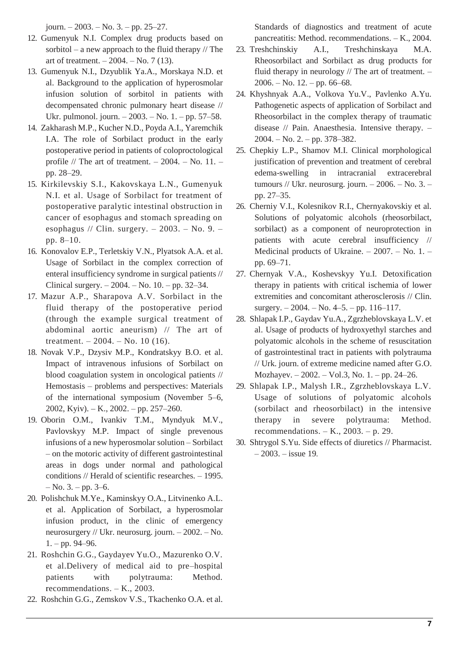journ. – 2003. – No. 3. – pp. 25–27.

- 12. Gumenyuk N.I. Complex drug products based on sorbitol – a new approach to the fluid therapy  $//$  The art of treatment.  $-2004. -$  No. 7 (13).
- 13. Gumenyuk N.I., Dzyublik Ya.A., Morskaya N.D. et al. Background to the application of hyperosmolar infusion solution of sorbitol in patients with decompensated chronic pulmonary heart disease // Ukr. pulmonol. journ. – 2003. – No. 1. – pp. 57–58.
- 14. Zakharash M.P., Kucher N.D., Poyda A.I., Yaremchik I.A. The role of Sorbilact product in the early postoperative period in patients of coloproctological profile  $//$  The art of treatment.  $-2004. -$  No. 11.  $$ pp. 28–29.
- 15. Kirkilevskiy S.I., Kakovskaya L.N., Gumenyuk N.I. et al. Usage of Sorbilact for treatment of postoperative paralytic intestinal obstruction in cancer of esophagus and stomach spreading on esophagus // Clin. surgery.  $-2003. -$  No. 9.  $$ pp. 8–10.
- 16. Konovalov E.P., Terletskiy V.N., Plyatsok A.A. et al. Usage of Sorbilact in the complex correction of enteral insufficiency syndrome in surgical patients // Clinical surgery. – 2004. – No. 10. – pp. 32–34.
- 17. Mazur A.P., Sharapova A.V. Sorbilact in the fluid therapy of the postoperative period (through the example surgical treatment of abdominal aortic aneurism) // The art of treatment.  $-2004. -$  No. 10 (16).
- 18. Novak V.P., Dzysiv M.P., Kondratskyy B.O. et al. Impact of intravenous infusions of Sorbilact on blood coagulation system in oncological patients // Hemostasis – problems and perspectives: Materials of the international symposium (November 5–6, 2002, Kyiv). – K., 2002. – pp. 257–260.
- 19. Oborin O.M., Ivankiv T.M., Myndyuk M.V., Pavlovskyy M.P. Impact of single prevenous infusions of a new hyperosmolar solution – Sorbilact – on the motoric activity of different gastrointestinal areas in dogs under normal and pathological conditions // Herald of scientific researches. – 1995.  $-$  No. 3. – pp. 3–6.
- 20. Polishchuk M.Ye., Kaminskyy O.A., Litvinenko A.L. et al. Application of Sorbilact, a hyperosmolar infusion product, in the clinic of emergency neurosurgery // Ukr. neurosurg. journ. – 2002. – No.  $1. - pp. 94 - 96.$
- 21. Roshchin G.G., Gaydayev Yu.O., Mazurenko O.V. et al.Delivery of medical aid to pre–hospital patients with polytrauma: Method. recommendations. – K., 2003.
- 22. Roshchin G.G., Zemskov V.S., Tkachenko O.A. et al.

Standards of diagnostics and treatment of acute pancreatitis: Method. recommendations. – K., 2004.

- 23. Treshchinskiy A.I., Treshchinskaya M.A. Rheosorbilact and Sorbilact as drug products for fluid therapy in neurology // The art of treatment. – 2006. – No. 12. – pp. 66–68.
- 24. Khyshnyak A.A., Volkova Yu.V., Pavlenko A.Yu. Pathogenetic aspects of application of Sorbilact and Rheosorbilact in the complex therapy of traumatic disease // Pain. Anaesthesia. Intensive therapy. – 2004. – No. 2. – pp. 378–382.
- 25. Chepkiy L.P., Shamov M.I. Clinical morphological justification of prevention and treatment of cerebral edema-swelling in intracranial extracerebral tumours // Ukr. neurosurg. journ. – 2006. – No. 3. – pp. 27–35.
- 26. Cherniy V.I., Kolesnikov R.I., Chernyakovskiy et al. Solutions of polyatomic alcohols (rheosorbilact, sorbilact) as a component of neuroprotection in patients with acute cerebral insufficiency // Medicinal products of Ukraine. – 2007. – No. 1. – pp. 69–71.
- 27. Chernyak V.A., Koshevskyy Yu.I. Detoxification therapy in patients with critical ischemia of lower extremities and concomitant atherosclerosis // Clin. surgery. – 2004. – No. 4–5. – pp. 116–117.
- 28. Shlapak I.P., Gaydav Yu.A., Zgrzheblovskaya L.V. et al. Usage of products of hydroxyethyl starches and polyatomic alcohols in the scheme of resuscitation of gastrointestinal tract in patients with polytrauma // Urk. journ. of extreme medicine named after G.O. Mozhayev. – 2002. – Vol.3, No. 1. – pp. 24–26.
- 29. Shlapak I.P., Malysh I.R., Zgrzheblovskaya L.V. Usage of solutions of polyatomic alcohols (sorbilact and rheosorbilact) in the intensive therapy in severe polytrauma: Method. recommendations.  $-K<sub>1</sub>$ , 2003. – p. 29.
- 30. Shtrygol S.Yu. Side effects of diuretics // Pharmacist. – 2003. – issue 19.